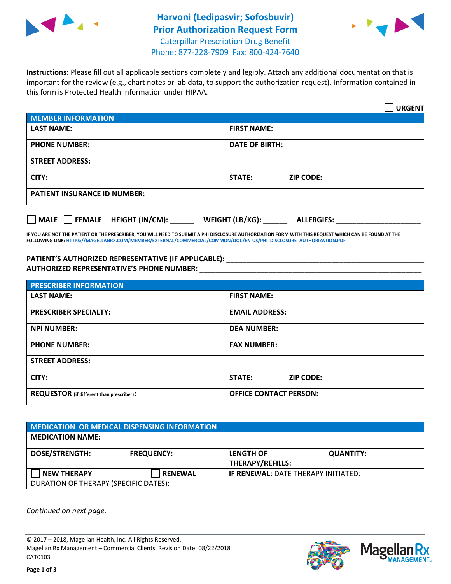



Phone: 877-228-7909 Fax: 800-424-7640

**Instructions:** Please fill out all applicable sections completely and legibly. Attach any additional documentation that is important for the review (e.g., chart notes or lab data, to support the authorization request). Information contained in this form is Protected Health Information under HIPAA.

|                                     | <b>URGENT</b>                        |  |  |  |
|-------------------------------------|--------------------------------------|--|--|--|
| <b>MEMBER INFORMATION</b>           |                                      |  |  |  |
| <b>LAST NAME:</b>                   | <b>FIRST NAME:</b>                   |  |  |  |
| <b>PHONE NUMBER:</b>                | <b>DATE OF BIRTH:</b>                |  |  |  |
| <b>STREET ADDRESS:</b>              |                                      |  |  |  |
| CITY:                               | <b>ZIP CODE:</b><br>STATE:           |  |  |  |
| <b>PATIENT INSURANCE ID NUMBER:</b> |                                      |  |  |  |
| MALE FEMALE HEIGHT (IN/CM):         | WEIGHT (LB/KG):<br><b>ALLERGIES:</b> |  |  |  |

**IF YOU ARE NOT THE PATIENT OR THE PRESCRIBER, YOU WILL NEED TO SUBMIT A PHI DISCLOSURE AUTHORIZATION FORM WITH THIS REQUEST WHICH CAN BE FOUND AT THE FOLLOWING LINK[: HTTPS://MAGELLANRX.COM/MEMBER/EXTERNAL/COMMERCIAL/COMMON/DOC/EN-US/PHI\\_DISCLOSURE\\_AUTHORIZATION.PDF](https://magellanrx.com/member/external/commercial/common/doc/en-us/PHI_Disclosure_Authorization.pdf)**

**PATIENT'S AUTHORIZED REPRESENTATIVE (IF APPLICABLE): \_\_\_\_\_\_\_\_\_\_\_\_\_\_\_\_\_\_\_\_\_\_\_\_\_\_\_\_\_\_\_\_\_\_\_\_\_\_\_\_\_\_\_\_\_\_\_\_\_ AUTHORIZED REPRESENTATIVE'S PHONE NUMBER:** \_\_\_\_\_\_\_\_\_\_\_\_\_\_\_\_\_\_\_\_\_\_\_\_\_\_\_\_\_\_\_\_\_\_\_\_\_\_\_\_\_\_\_\_\_\_\_\_\_\_\_\_\_\_\_

| <b>PRESCRIBER INFORMATION</b>             |                               |  |  |  |
|-------------------------------------------|-------------------------------|--|--|--|
| <b>LAST NAME:</b>                         | <b>FIRST NAME:</b>            |  |  |  |
| <b>PRESCRIBER SPECIALTY:</b>              | <b>EMAIL ADDRESS:</b>         |  |  |  |
| <b>NPI NUMBER:</b>                        | <b>DEA NUMBER:</b>            |  |  |  |
| <b>PHONE NUMBER:</b>                      | <b>FAX NUMBER:</b>            |  |  |  |
| <b>STREET ADDRESS:</b>                    |                               |  |  |  |
| CITY:                                     | STATE:<br><b>ZIP CODE:</b>    |  |  |  |
| REQUESTOR (if different than prescriber): | <b>OFFICE CONTACT PERSON:</b> |  |  |  |

| MEDICATION OR MEDICAL DISPENSING INFORMATION |                   |                                             |                  |  |  |
|----------------------------------------------|-------------------|---------------------------------------------|------------------|--|--|
| <b>MEDICATION NAME:</b>                      |                   |                                             |                  |  |  |
| <b>DOSE/STRENGTH:</b>                        | <b>FREQUENCY:</b> | <b>LENGTH OF</b><br><b>THERAPY/REFILLS:</b> | <b>QUANTITY:</b> |  |  |
| <b>NEW THERAPY</b>                           | <b>RENEWAL</b>    | <b>IF RENEWAL: DATE THERAPY INITIATED:</b>  |                  |  |  |
| DURATION OF THERAPY (SPECIFIC DATES):        |                   |                                             |                  |  |  |

*Continued on next page.*

© 2017 – 2018, Magellan Health, Inc. All Rights Reserved. Magellan Rx Management – Commercial Clients. Revision Date: 08/22/2018 CAT0103



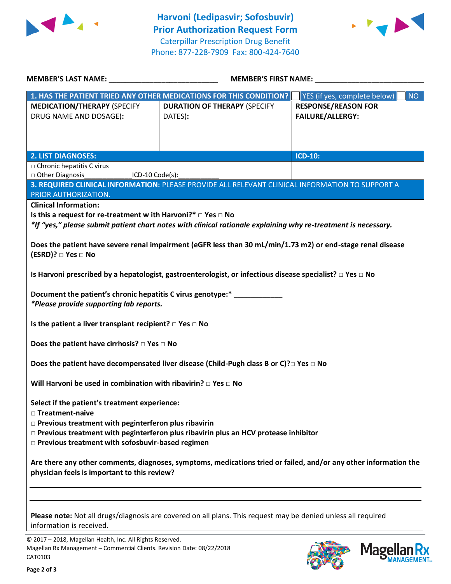



| <b>MEMBER'S LAST NAME:</b>                                                                                                                                       | <b>MEMBER'S FIRST NAME:</b>                                                                                    |                                                       |  |  |
|------------------------------------------------------------------------------------------------------------------------------------------------------------------|----------------------------------------------------------------------------------------------------------------|-------------------------------------------------------|--|--|
|                                                                                                                                                                  | 1. HAS THE PATIENT TRIED ANY OTHER MEDICATIONS FOR THIS CONDITION?                                             | <b>NO</b><br>YES (if yes, complete below)             |  |  |
| <b>MEDICATION/THERAPY (SPECIFY</b><br>DRUG NAME AND DOSAGE):                                                                                                     | <b>DURATION OF THERAPY (SPECIFY</b><br>DATES):                                                                 | <b>RESPONSE/REASON FOR</b><br><b>FAILURE/ALLERGY:</b> |  |  |
| <b>2. LIST DIAGNOSES:</b>                                                                                                                                        |                                                                                                                | <b>ICD-10:</b>                                        |  |  |
| $\Box$ Chronic hepatitis C virus                                                                                                                                 |                                                                                                                |                                                       |  |  |
| Other Diagnosis<br>$[CD-10 Code(s)]$                                                                                                                             |                                                                                                                |                                                       |  |  |
|                                                                                                                                                                  | 3. REQUIRED CLINICAL INFORMATION: PLEASE PROVIDE ALL RELEVANT CLINICAL INFORMATION TO SUPPORT A                |                                                       |  |  |
| PRIOR AUTHORIZATION.                                                                                                                                             |                                                                                                                |                                                       |  |  |
| <b>Clinical Information:</b>                                                                                                                                     |                                                                                                                |                                                       |  |  |
| Is this a request for re-treatment w ith Harvoni?* $\Box$ Yes $\Box$ No                                                                                          |                                                                                                                |                                                       |  |  |
|                                                                                                                                                                  | *If "yes," please submit patient chart notes with clinical rationale explaining why re-treatment is necessary. |                                                       |  |  |
|                                                                                                                                                                  |                                                                                                                |                                                       |  |  |
|                                                                                                                                                                  | Does the patient have severe renal impairment (eGFR less than 30 mL/min/1.73 m2) or end-stage renal disease    |                                                       |  |  |
| (ESRD)? □ Yes □ No                                                                                                                                               |                                                                                                                |                                                       |  |  |
| Is Harvoni prescribed by a hepatologist, gastroenterologist, or infectious disease specialist? $\Box$ Yes $\Box$ No                                              |                                                                                                                |                                                       |  |  |
| Document the patient's chronic hepatitis C virus genotype:*                                                                                                      |                                                                                                                |                                                       |  |  |
| *Please provide supporting lab reports.                                                                                                                          |                                                                                                                |                                                       |  |  |
| Is the patient a liver transplant recipient? $\square$ Yes $\square$ No                                                                                          |                                                                                                                |                                                       |  |  |
| Does the patient have cirrhosis? $\square$ Yes $\square$ No                                                                                                      |                                                                                                                |                                                       |  |  |
| Does the patient have decompensated liver disease (Child-Pugh class B or C)? $\square$ Yes $\square$ No                                                          |                                                                                                                |                                                       |  |  |
| Will Harvoni be used in combination with ribavirin? $\Box$ Yes $\Box$ No                                                                                         |                                                                                                                |                                                       |  |  |
| Select if the patient's treatment experience:<br>□ Treatment-naive                                                                                               |                                                                                                                |                                                       |  |  |
| $\Box$ Previous treatment with peginterferon plus ribavirin                                                                                                      |                                                                                                                |                                                       |  |  |
| $\Box$ Previous treatment with peginterferon plus ribavirin plus an HCV protease inhibitor                                                                       |                                                                                                                |                                                       |  |  |
| □ Previous treatment with sofosbuvir-based regimen                                                                                                               |                                                                                                                |                                                       |  |  |
| Are there any other comments, diagnoses, symptoms, medications tried or failed, and/or any other information the<br>physician feels is important to this review? |                                                                                                                |                                                       |  |  |
|                                                                                                                                                                  |                                                                                                                |                                                       |  |  |
|                                                                                                                                                                  |                                                                                                                |                                                       |  |  |
| information is received.                                                                                                                                         | Please note: Not all drugs/diagnosis are covered on all plans. This request may be denied unless all required  |                                                       |  |  |

© 2017 – 2018, Magellan Health, Inc. All Rights Reserved. Magellan Rx Management – Commercial Clients. Revision Date: 08/22/2018 CAT0103